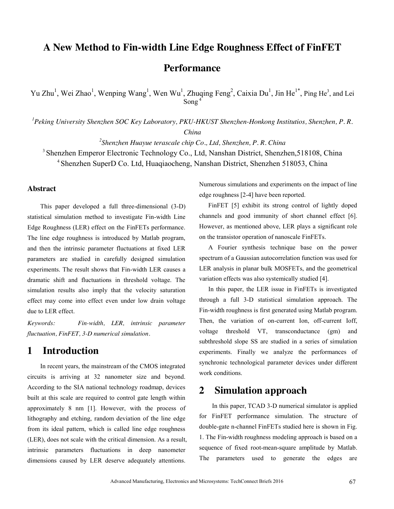# **A New Method to Fin-width Line Edge Roughness Effect of FinFET Performance**

Yu Zhu<sup>1</sup>, Wei Zhao<sup>1</sup>, Wenping Wang<sup>1</sup>, Wen Wu<sup>1</sup>, Zhuqing Feng<sup>2</sup>, Caixia Du<sup>1</sup>, Jin He<sup>1\*</sup>, Ping He<sup>3</sup>, and Lei Song $4$ 

*1 Peking University Shenzhen SOC Key Laboratory, PKU-HKUST Shenzhen-Honkong Institutios, Shenzhen, P. R. China* 

*2 Shenzhen Huayue terascale chip Co., Ltd, Shenzhen, P. R. China* 

3 Shenzhen Emperor Electronic Technology Co., Ltd, Nanshan District, Shenzhen,518108, China 4 Shenzhen SuperD Co. Ltd, Huaqiaocheng, Nanshan District, Shenzhen 518053, China

#### **Abstract**

This paper developed a full three-dimensional (3-D) statistical simulation method to investigate Fin-width Line Edge Roughness (LER) effect on the FinFETs performance. The line edge roughness is introduced by Matlab program, and then the intrinsic parameter fluctuations at fixed LER parameters are studied in carefully designed simulation experiments. The result shows that Fin-width LER causes a dramatic shift and fluctuations in threshold voltage. The simulation results also imply that the velocity saturation effect may come into effect even under low drain voltage due to LER effect.

*Keywords: Fin-width, LER, intrinsic parameter fluctuation, FinFET, 3-D numerical simulation.* 

### **1 Introduction**

In recent years, the mainstream of the CMOS integrated circuits is arriving at 32 nanometer size and beyond. According to the SIA national technology roadmap, devices built at this scale are required to control gate length within approximately 8 nm [1]. However, with the process of lithography and etching, random deviation of the line edge from its ideal pattern, which is called line edge roughness (LER), does not scale with the critical dimension. As a result, intrinsic parameters fluctuations in deep nanometer dimensions caused by LER deserve adequately attentions.

Numerous simulations and experiments on the impact of line edge roughness [2-4] have been reported.

FinFET [5] exhibit its strong control of lightly doped channels and good immunity of short channel effect [6]. However, as mentioned above, LER plays a significant role on the transistor operation of nanoscale FinFETs.

A Fourier synthesis technique base on the power spectrum of a Gaussian autocorrelation function was used for LER analysis in planar bulk MOSFETs, and the geometrical variation effects was also systemically studied [4].

In this paper, the LER issue in FinFETs is investigated through a full 3-D statistical simulation approach. The Fin-width roughness is first generated using Matlab program. Then, the variation of on-current Ion, off-current Ioff, voltage threshold VT, transconductance (gm) and subthreshold slope SS are studied in a series of simulation experiments. Finally we analyze the performances of synchronic technological parameter devices under different work conditions.

#### **2 Simulation approach**

In this paper, TCAD 3-D numerical simulator is applied for FinFET performance simulation. The structure of double-gate n-channel FinFETs studied here is shown in Fig. 1. The Fin-width roughness modeling approach is based on a sequence of fixed root-mean-square amplitude by Matlab. The parameters used to generate the edges are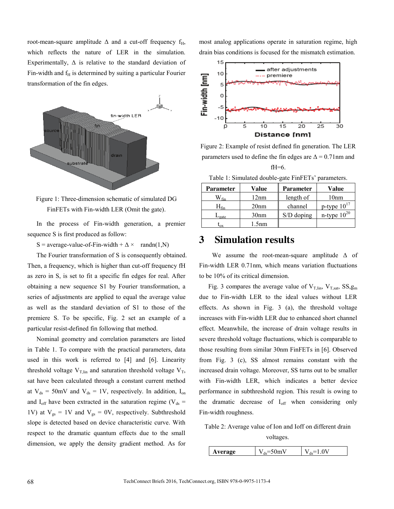root-mean-square amplitude  $\Delta$  and a cut-off frequency f<sub>H</sub>, which reflects the nature of LER in the simulation. Experimentally,  $\Delta$  is relative to the standard deviation of Fin-width and  $f<sub>H</sub>$  is determined by suiting a particular Fourier transformation of the fin edges.



Figure 1: Three-dimension schematic of simulated DG FinFETs with Fin-width LER (Omit the gate).

In the process of Fin-width generation, a premier sequence S is first produced as follow:

S = average-value-of-Fin-width +  $\Delta \times$  randn(1,N)

The Fourier transformation of S is consequently obtained. Then, a frequency, which is higher than cut-off frequency fH as zero in S, is set to fit a specific fin edges for real. After obtaining a new sequence S1 by Fourier transformation, a series of adjustments are applied to equal the average value as well as the standard deviation of S1 to those of the premiere S. To be specific, Fig. 2 set an example of a particular resist-defined fin following that method.

Nominal geometry and correlation parameters are listed in Table 1. To compare with the practical parameters, data used in this work is referred to [4] and [6]. Linearity threshold voltage  $V_{T,lin}$  and saturation threshold voltage  $V_T$ , sat have been calculated through a constant current method at  $V_{ds} = 50 \text{mV}$  and  $V_{ds} = 1 \text{V}$ , respectively. In addition, I<sub>on</sub> and  $I_{off}$  have been extracted in the saturation regime (V<sub>ds</sub> = 1V) at  $V_{gs} = 1V$  and  $V_{gs} = 0V$ , respectively. Subthreshold slope is detected based on device characteristic curve. With respect to the dramatic quantum effects due to the small dimension, we apply the density gradient method. As for most analog applications operate in saturation regime, high drain bias conditions is focused for the mismatch estimation.



Figure 2: Example of resist defined fin generation. The LER parameters used to define the fin edges are  $\Delta = 0.71$  nm and  $fH=6$ .

Table 1: Simulated double-gate FinFETs' parameters.

| Parameter                   | Value            | <b>Parameter</b> | Value            |
|-----------------------------|------------------|------------------|------------------|
| $\mathsf{W}_{\mathsf{fin}}$ | 12nm             | length of        | 10nm             |
| ${\sf H}_{\sf fin}$         | 20nm             | channel          | p-type $10^{17}$ |
| $-\text{gate}$              | 30 <sub>nm</sub> | $S/D$ doping     | n-type $10^{20}$ |
| ΩX                          | .5nm             |                  |                  |

### **3 Simulation results**

We assume the root-mean-square amplitude  $\Delta$  of Fin-width LER 0.71nm, which means variation fluctuations to be 10% of its critical dimension.

Fig. 3 compares the average value of  $V_{T,lin}$ ,  $V_{T,sat}$ ,  $SS,g_m$ due to Fin-width LER to the ideal values without LER effects. As shown in Fig. 3 (a), the threshold voltage increases with Fin-width LER due to enhanced short channel effect. Meanwhile, the increase of drain voltage results in severe threshold voltage fluctuations, which is comparable to those resulting from similar 30nm FinFETs in [6]. Observed from Fig. 3 (c), SS almost remains constant with the increased drain voltage. Moreover, SS turns out to be smaller with Fin-width LER, which indicates a better device performance in subthreshold region. This result is owing to the dramatic decrease of  $I_{off}$  when considering only Fin-width roughness.

Table 2: Average value of Ion and Ioff on different drain voltages.

| . | u |  |
|---|---|--|
|   |   |  |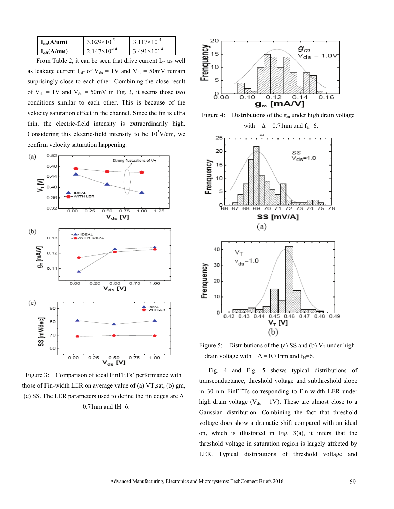| $I_{on}(A/\mu m)$  | $3.029\times10^{-5}$  | $3.117\times10^{-5}$  |
|--------------------|-----------------------|-----------------------|
| $I_{off}(A/\mu m)$ | $2.147\times10^{-14}$ | $3.491\times10^{-14}$ |

From Table 2, it can be seen that drive current  $I_{on}$  as well as leakage current  $I_{off}$  of  $V_{ds} = 1V$  and  $V_{ds} = 50$ mV remain surprisingly close to each other. Combining the close result of  $V_{ds}$  = 1V and  $V_{ds}$  = 50mV in Fig. 3, it seems those two conditions similar to each other. This is because of the velocity saturation effect in the channel. Since the fin is ultra thin, the electric-field intensity is extraordinarily high. Considering this electric-field intensity to be  $10<sup>5</sup>$ V/cm, we confirm velocity saturation happening.



Figure 3: Comparison of ideal FinFETs' performance with those of Fin-width LER on average value of (a) VT,sat, (b) gm, (c) SS. The LER parameters used to define the fin edges are  $\Delta$  $= 0.71$  nm and fH=6.



Figure 4: Distributions of the  $g_m$  under high drain voltage



Figure 5: Distributions of the (a) SS and (b)  $V_T$  under high drain voltage with  $\Delta = 0.71$  nm and f<sub>H</sub>=6.

Fig. 4 and Fig. 5 shows typical distributions of transconductance, threshold voltage and subthreshold slope in 30 nm FinFETs corresponding to Fin-width LER under high drain voltage ( $V_{ds} = 1V$ ). These are almost close to a Gaussian distribution. Combining the fact that threshold voltage does show a dramatic shift compared with an ideal on, which is illustrated in Fig. 3(a), it infers that the threshold voltage in saturation region is largely affected by LER. Typical distributions of threshold voltage and